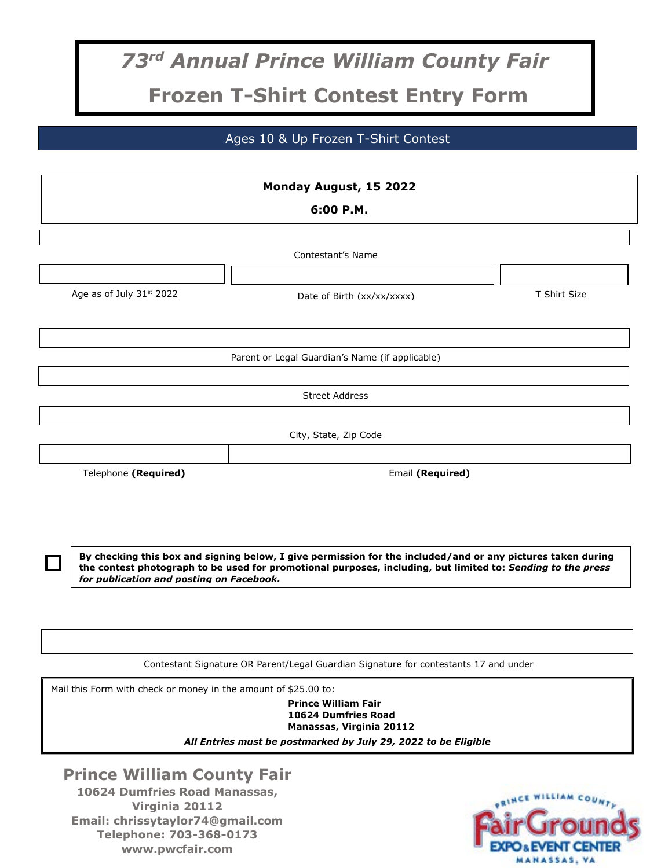## *73 rd Annual Prince William County Fair* **Frozen T-Shirt Contest Entry Form**

Ages 10 & Up Frozen T-Shirt Contest

|                                                                 | Monday August, 15 2022                                                                                                                                                                                                     |              |  |  |
|-----------------------------------------------------------------|----------------------------------------------------------------------------------------------------------------------------------------------------------------------------------------------------------------------------|--------------|--|--|
| 6:00 P.M.                                                       |                                                                                                                                                                                                                            |              |  |  |
|                                                                 |                                                                                                                                                                                                                            |              |  |  |
|                                                                 | Contestant's Name                                                                                                                                                                                                          |              |  |  |
| Age as of July 31st 2022                                        | Date of Birth (xx/xx/xxxx)                                                                                                                                                                                                 | T Shirt Size |  |  |
|                                                                 | Parent or Legal Guardian's Name (if applicable)                                                                                                                                                                            |              |  |  |
|                                                                 |                                                                                                                                                                                                                            |              |  |  |
|                                                                 | <b>Street Address</b>                                                                                                                                                                                                      |              |  |  |
|                                                                 |                                                                                                                                                                                                                            |              |  |  |
|                                                                 | City, State, Zip Code                                                                                                                                                                                                      |              |  |  |
| Telephone (Required)                                            | Email (Required)                                                                                                                                                                                                           |              |  |  |
| for publication and posting on Facebook.                        | By checking this box and signing below, I give permission for the included/and or any pictures taken during<br>the contest photograph to be used for promotional purposes, including, but limited to: Sending to the press |              |  |  |
|                                                                 |                                                                                                                                                                                                                            |              |  |  |
|                                                                 | Contestant Signature OR Parent/Legal Guardian Signature for contestants 17 and under                                                                                                                                       |              |  |  |
| Mail this Form with check or money in the amount of \$25.00 to: | <b>Prince William Fair</b><br>10624 Dumfries Road<br>Manassas, Virginia 20112<br>All Entries must be postmarked by July 29, 2022 to be Eligible                                                                            |              |  |  |

**Prince William County Fair 10624 Dumfries Road Manassas, Virginia 20112 Email: chrissytaylor74@gmail.com Telephone: 703-368-0173 www.pwcfair.com**